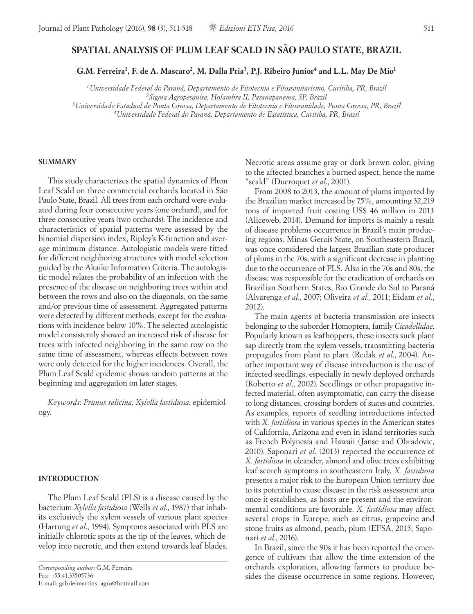# **SPATIAL ANALYSIS OF PLUM LEAF SCALD IN SÃO PAULO STATE, BRAZIL**

G.M. Ferreira<sup>1</sup>, F. de A. Mascaro<sup>2</sup>, M. Dalla Pria<sup>3</sup>, P.J. Ribeiro Junior<sup>4</sup> and L.L. May De Mio<sup>1</sup>

*1Universidade Federal do Paraná, Departamento de Fitotecnia e Fitossanitarismo, Curitiba, PR, Brazil <sup>2</sup> Sigma Agropesquisa, Holambra II, Paranapanema, SP, Brazil 3Universidade Estadual de Ponta Grossa, Departamento de Fitotecnia e Fitossanidade, Ponta Grossa, PR, Brazil 4Universidade Federal do Paraná, Departamento de Estatística, Curitiba, PR, Brazil*

## **SUMMARY**

This study characterizes the spatial dynamics of Plum Leaf Scald on three commercial orchards located in São Paulo State, Brazil. All trees from each orchard were evaluated during four consecutive years (one orchard), and for three consecutive years (two orchards). The incidence and characteristics of spatial patterns were assessed by the binomial dispersion index, Ripley's K-function and average minimum distance. Autologistic models were fitted for different neighboring structures with model selection guided by the Akaike Information Criteria. The autologistic model relates the probability of an infection with the presence of the disease on neighboring trees within and between the rows and also on the diagonals, on the same and/or previous time of assessment. Aggregated patterns were detected by different methods, except for the evaluations with incidence below 10%. The selected autologistic model consistently showed an increased risk of disease for trees with infected neighboring in the same row on the same time of assessment, whereas effects between rows were only detected for the higher incidences. Overall, the Plum Leaf Scald epidemic shows random patterns at the beginning and aggregation on later stages.

*Keywords*: *Prunus salicina*, *Xylella fastidiosa*, epidemiology.

#### **INTRODUCTION**

The Plum Leaf Scald (PLS) is a disease caused by the bacterium *Xylella fastidiosa* (Wells *et al*., 1987) that inhabits exclusively the xylem vessels of various plant species (Hartung *et al*., 1994). Symptoms associated with PLS are initially chlorotic spots at the tip of the leaves, which develop into necrotic, and then extend towards leaf blades. Necrotic areas assume gray or dark brown color, giving to the affected branches a burned aspect, hence the name "scald" (Ducroquet *et al*., 2001).

From 2008 to 2013, the amount of plums imported by the Brazilian market increased by 75%, amounting 32,219 tons of imported fruit costing US\$ 46 million in 2013 (Aliceweb, 2014). Demand for imports is mainly a result of disease problems occurrence in Brazil's main producing regions. Minas Gerais State, on Southeastern Brazil, was once considered the largest Brazilian state producer of plums in the 70s, with a significant decrease in planting due to the occurrence of PLS. Also in the 70s and 80s, the disease was responsible for the eradication of orchards on Brazilian Southern States, Rio Grande do Sul to Paraná (Alvarenga *et al*., 2007; Oliveira *et al*., 2011; Eidam *et al*., 2012).

The main agents of bacteria transmission are insects belonging to the suborder Homoptera, family *Cicadellidae*. Popularly known as leafhoppers, these insects suck plant sap directly from the xylem vessels, transmitting bacteria propagules from plant to plant (Redak *et al*., 2004). Another important way of disease introduction is the use of infected seedlings, especially in newly deployed orchards (Roberto *et al*., 2002). Seedlings or other propagative infected material, often asymptomatic, can carry the disease to long distances, crossing borders of states and countries. As examples, reports of seedling introductions infected with *X. fastidiosa* in various species in the American states of California, Arizona and even in island territories such as French Polynesia and Hawaii (Janse and Obradovic, 2010). Saponari *et al*. (2013) reported the occurrence of *X. fastidiosa* in oleander, almond and olive trees exhibiting leaf scorch symptoms in southeastern Italy. *X. fastidiosa* presents a major risk to the European Union territory due to its potential to cause disease in the risk assessment area once it establishes, as hosts are present and the environmental conditions are favorable. *X. fastidiosa* may affect several crops in Europe, such as citrus, grapevine and stone fruits as almond, peach, plum (EFSA, 2015; Saponari *et al.*, 2016).

In Brazil, since the 90s it has been reported the emergence of cultivars that allow the time extension of the orchards exploration, allowing farmers to produce besides the disease occurrence in some regions. However,

*Corresponding author*: G.M. Ferreira Fax: +55.41.33505736 E-mail: gabrielmartins\_agro@hotmail.com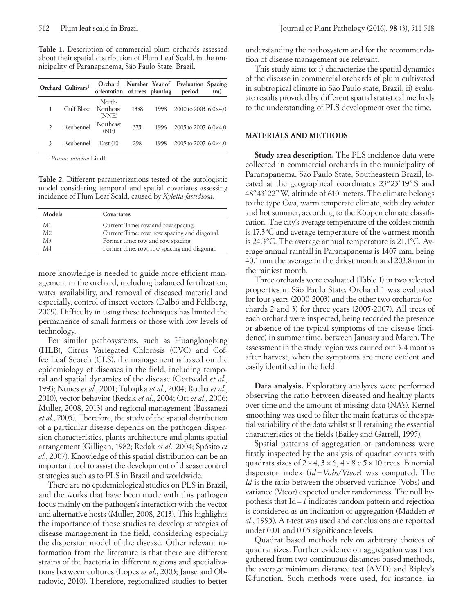**Table 1.** Description of commercial plum orchards assessed about their spatial distribution of Plum Leaf Scald, in the municipality of Paranapanema, São Paulo State, Brazil.

|               | Orchard Cultivars <sup>1</sup> | orientation of trees planting period |      |      | Orchard Number Year of Evaluation Spacing | (m) |
|---------------|--------------------------------|--------------------------------------|------|------|-------------------------------------------|-----|
| 1             | Gulf Blaze                     | North-<br>Northeast<br>(NNE)         | 1338 | 1998 | 2000 to 2003 6,0×4,0                      |     |
| $\mathcal{P}$ | Reubennel                      | Northeast<br>(NE)                    | 375  | 1996 | 2005 to 2007 6,0 $\times$ 4,0             |     |
| 3             | Reubennel                      | East(E)                              | 298  | 1998 | 2005 to 2007 6,0×4,0                      |     |

<sup>1</sup>*Prunus salicina* Lindl.

**Table 2.** Different parametrizations tested of the autologistic model considering temporal and spatial covariates assessing incidence of Plum Leaf Scald, caused by *Xylella fastidiosa*.

| Models         | Covariates                                   |
|----------------|----------------------------------------------|
| M1             | Current Time: row and row spacing.           |
| M2             | Current Time: row, row spacing and diagonal. |
| M <sub>3</sub> | Former time: row and row spacing             |
| M4             | Former time: row, row spacing and diagonal.  |

more knowledge is needed to guide more efficient management in the orchard, including balanced fertilization, water availability, and removal of diseased material and especially, control of insect vectors (Dalbó and Feldberg, 2009). Difficulty in using these techniques has limited the permanence of small farmers or those with low levels of technology.

For similar pathosystems, such as Huanglongbing (HLB), Citrus Variegated Chlorosis (CVC) and Coffee Leaf Scorch (CLS), the management is based on the epidemiology of diseases in the field, including temporal and spatial dynamics of the disease (Gottwald *et al*., 1993; Nunes *et al*., 2001; Tubajika *et al*., 2004; Rocha *et al*., 2010), vector behavior (Redak *et al*., 2004; Ott *et al*., 2006; Muller, 2008, 2013) and regional management (Bassanezi *et al*., 2005). Therefore, the study of the spatial distribution of a particular disease depends on the pathogen dispersion characteristics, plants architecture and plants spatial arrangement (Gilligan, 1982; Redak *et al*., 2004; Spósito *et al*., 2007). Knowledge of this spatial distribution can be an important tool to assist the development of disease control strategies such as to PLS in Brazil and worldwide.

There are no epidemiological studies on PLS in Brazil, and the works that have been made with this pathogen focus mainly on the pathogen's interaction with the vector and alternative hosts (Muller, 2008, 2013). This highlights the importance of those studies to develop strategies of disease management in the field, considering especially the dispersion model of the disease. Other relevant information from the literature is that there are different strains of the bacteria in different regions and specializations between cultures (Lopes *et al*., 2003; Janse and Obradovic, 2010). Therefore, regionalized studies to better understanding the pathosystem and for the recommendation of disease management are relevant.

This study aims to: i) characterize the spatial dynamics of the disease in commercial orchards of plum cultivated in subtropical climate in São Paulo state, Brazil, ii) evaluate results provided by different spatial statistical methods to the understanding of PLS development over the time.

# **MATERIALS AND METHODS**

**Study area description.** The PLS incidence data were collected in commercial orchards in the municipality of Paranapanema, São Paulo State, Southeastern Brazil, located at the geographical coordinates 23º 23' 19" S and 48º43'22"W, altitude of 610 meters. The climate belongs to the type Cwa, warm temperate climate, with dry winter and hot summer, according to the Köppen climate classification. The city's average temperature of the coldest month is 17.3°C and average temperature of the warmest month is 24.3°C. The average annual temperature is 21.1°C. Average annual rainfall in Paranapanema is 1407 mm, being 40.1mm the average in the driest month and 203.8mm in the rainiest month.

Three orchards were evaluated (Table 1) in two selected properties in São Paulo State. Orchard 1 was evaluated for four years (2000-2003) and the other two orchards (orchards 2 and 3) for three years (2005-2007). All trees of each orchard were inspected, being recorded the presence or absence of the typical symptoms of the disease (incidence) in summer time, between January and March. The assessment in the study region was carried out 3-4 months after harvest, when the symptoms are more evident and easily identified in the field.

**Data analysis.** Exploratory analyzes were performed observing the ratio between diseased and healthy plants over time and the amount of missing data (NA's). Kernel smoothing was used to filter the main features of the spatial variability of the data whilst still retaining the essential characteristics of the fields (Bailey and Gatrell, 1995).

Spatial patterns of aggregation or randomness were firstly inspected by the analysis of quadrat counts with quadrats sizes of  $2 \times 4$ ,  $3 \times 6$ ,  $4 \times 8$  e  $5 \times 10$  trees. Binomial dispersion index (*Id=Vobs/Vteor*) was computed. The *Id* is the ratio between the observed variance (Vobs) and variance (Vteor) expected under randomness. The null hypothesis that Id*=1* indicates random pattern and rejection is considered as an indication of aggregation (Madden *et al*., 1995). A t-test was used and conclusions are reported under 0.01 and 0.05 significance levels.

Quadrat based methods rely on arbitrary choices of quadrat sizes. Further evidence on aggregation was then gathered from two continuous distances based methods, the average minimum distance test (AMD) and Ripley's K-function. Such methods were used, for instance, in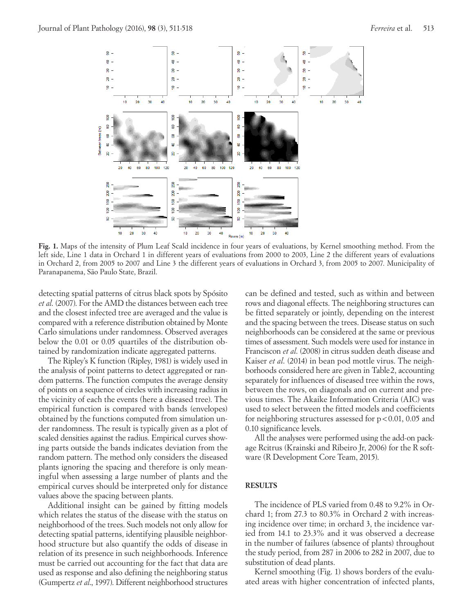

**Fig. 1.** Maps of the intensity of Plum Leaf Scald incidence in four years of evaluations, by Kernel smoothing method. From the left side, Line 1 data in Orchard 1 in different years of evaluations from 2000 to 2003, Line 2 the different years of evaluations in Orchard 2, from 2005 to 2007 and Line 3 the different years of evaluations in Orchard 3, from 2005 to 2007. Municipality of Paranapanema, São Paulo State, Brazil.

detecting spatial patterns of citrus black spots by Spósito *et al*. (2007). For the AMD the distances between each tree and the closest infected tree are averaged and the value is compared with a reference distribution obtained by Monte Carlo simulations under randomness. Observed averages below the 0.01 or 0.05 quartiles of the distribution obtained by randomization indicate aggregated patterns.

The Ripley's K function (Ripley, 1981) is widely used in the analysis of point patterns to detect aggregated or random patterns. The function computes the average density of points on a sequence of circles with increasing radius in the vicinity of each the events (here a diseased tree). The empirical function is compared with bands (envelopes) obtained by the functions computed from simulation under randomness. The result is typically given as a plot of scaled densities against the radius. Empirical curves showing parts outside the bands indicates deviation from the random pattern. The method only considers the diseased plants ignoring the spacing and therefore is only meaningful when assessing a large number of plants and the empirical curves should be interpreted only for distance values above the spacing between plants.

Additional insight can be gained by fitting models which relates the status of the disease with the status on neighborhood of the trees. Such models not only allow for detecting spatial patterns, identifying plausible neighborhood structure but also quantify the odds of disease in relation of its presence in such neighborhoods. Inference must be carried out accounting for the fact that data are used as response and also defining the neighboring status (Gumpertz *et al*., 1997). Different neighborhood structures

can be defined and tested, such as within and between rows and diagonal effects. The neighboring structures can be fitted separately or jointly, depending on the interest and the spacing between the trees. Disease status on such neighborhoods can be considered at the same or previous times of assessment. Such models were used for instance in Franciscon *et al*. (2008) in citrus sudden death disease and Kaiser *et al*. (2014) in bean pod mottle virus. The neighborhoods considered here are given in Table2, accounting separately for influences of diseased tree within the rows, between the rows, on diagonals and on current and previous times. The Akaike Information Criteria (AIC) was used to select between the fitted models and coefficients for neighboring structures assessed for p<0.01, 0.05 and 0.10 significance levels.

All the analyses were performed using the add-on package Rcitrus (Krainski and Ribeiro Jr, 2006) for the R software (R Development Core Team, 2015).

#### **RESULTS**

The incidence of PLS varied from 0.48 to 9.2% in Orchard 1; from 27.3 to 80.3% in Orchard 2 with increasing incidence over time; in orchard 3, the incidence varied from 14.1 to 23.3% and it was observed a decrease in the number of failures (absence of plants) throughout the study period, from 287 in 2006 to 282 in 2007, due to substitution of dead plants.

Kernel smoothing (Fig. 1) shows borders of the evaluated areas with higher concentration of infected plants,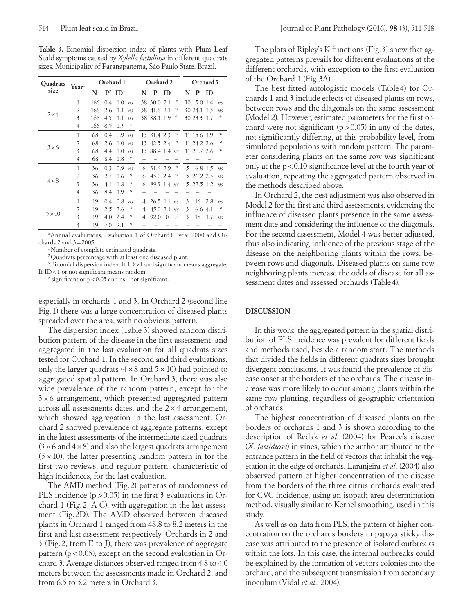**Table 3.** Binomial dispersion index of plants with Plum Leaf Scald symptoms caused by *Xylella fastidiosa* in different quadrats sizes. Municipality of Paranapanema, São Paulo State, Brazil.

| <b>Ouadrats</b> | Year <sup>a</sup> | Orchard 1      |                |                 | Orchard 2      |    |             | Orchard 3 |                     |    |             |           |                                   |
|-----------------|-------------------|----------------|----------------|-----------------|----------------|----|-------------|-----------|---------------------|----|-------------|-----------|-----------------------------------|
| size            |                   | $\mathbf{N}^1$ | $\mathbf{P}^2$ | ID <sup>3</sup> |                | N  | P           | <b>ID</b> |                     | N  | P           | <b>ID</b> |                                   |
|                 | 1                 | 166            | 0.4            | 1.0             | n <sub>S</sub> |    | 38 30.0 2.1 |           | *                   |    | 30 15.0 1.4 |           | n <sub>s</sub>                    |
|                 | $\overline{2}$    | 166            | 2.6            | 1.1             | n <sub>S</sub> | 38 | 41.6 2.1    |           | ÷                   |    | 30 24.1     | 1.3       | ns                                |
| $2\times4$      | 3                 | 166            | 4.5            | 1.1             | n <sub>S</sub> |    | 38 88.1 1.9 |           | *                   |    | 30 23.3     | 1.7       | ×                                 |
|                 | 4                 | 166            | 8,5            | 13              | *              |    |             |           |                     |    |             |           |                                   |
|                 | $\mathbf{1}$      | 68             | 0.4            | 0.9             | n <sub>S</sub> |    | 13 31.4 2.3 |           | $\ddot{\mathrm{z}}$ |    | 11 15.6 1.9 |           | $\frac{d\mathbf{x}}{d\mathbf{x}}$ |
|                 | $\overline{2}$    | 68             | 2.6            | 1.0             | n <sub>S</sub> | 13 | 42.5 2.4    |           | *                   |    | 11 24.2 2.6 |           | ×                                 |
| $3 \times 6$    | 3                 | 68             | 4.4            | 1.0             | n <sub>S</sub> | 13 | 88.4 1.4    |           | n <sub>S</sub>      |    | 11 20.7 2.6 |           | ÷                                 |
|                 | 4                 | 68             | 8.4            | 1.8             | ☆              |    |             |           |                     |    |             |           |                                   |
|                 | $\mathbf{1}$      | 36             | 0.3            | 0.9             | n <sub>S</sub> | 6  | 31.6 2.9    |           | *                   | 5. | 16.8 1.5    |           | n <sub>s</sub>                    |
|                 | $\overline{2}$    | 36             | 2.7            | 1.6             | ☆              | 6  | 45.0 2.4    |           | ÷,                  | 5  | 26.2 2.3    |           | n <sub>s</sub>                    |
| $4 \times 8$    | 3                 | 36             | 4.1            | 1.8             | ☆              | 6  | 89.3        | 1.4       | n <sub>S</sub>      |    | 5 22.5 1.2  |           | n <sub>S</sub>                    |
|                 | 4                 | 36             | 8.4            | 1.9             | ☆              |    |             |           |                     |    |             |           |                                   |
|                 | 1                 | 19             | 0.4            | 0.8             | ns             | 4  | 26.5        | $1.1$ ns  |                     | 3  | 16          | 2.8       | n <sub>s</sub>                    |
|                 | 2                 | 19             | 2.5            | 2.6             | ÷              | 4  | 45.0        | 2.1       | n <sub>S</sub>      | 3  | 16.6 4.1    |           | ×                                 |
| $5 \times 10$   | 3                 | 19             | 4.0            | 2.4             | ☆              | 4  | 92.0        | $\Omega$  | r                   | 3  | 18          | 1.7       | n <sub>s</sub>                    |
|                 | $\overline{4}$    | 19             | 7.0            | 2.1             | ÷              |    |             |           |                     |    |             |           |                                   |

<sup>a</sup>Annual evaluations, Evaluation 1 of Orchard 1=year 2000 and Orchards 2 and  $3=2005$ .

<sup>1</sup>Number of complete estimated quadrats.

2Quadrats percentage with at least one diseased plant.

<sup>3</sup> Binomial dispersion index: If ID > 1 and significant means aggregate; If ID<1 or not significant means random.

\* significant or  $p < 0.05$  and ns = not significant.

especially in orchards 1 and 3. In Orchard 2 (second line Fig. 1) there was a large concentration of diseased plants spreaded over the area, with no obvious pattern.

The dispersion index (Table 3) showed random distribution pattern of the disease in the first assessment, and aggregated in the last evaluation for all quadrats sizes tested for Orchard 1. In the second and third evaluations, only the larger quadrats  $(4 \times 8 \text{ and } 5 \times 10)$  had pointed to aggregated spatial pattern. In Orchard 3, there was also wide prevalence of the random pattern, except for the  $3\times6$  arrangement, which presented aggregated pattern across all assessments dates, and the  $2 \times 4$  arrangement, which showed aggregation in the last assessment. Orchard 2 showed prevalence of aggregate patterns, except in the latest assessments of the intermediate sized quadrats  $(3 \times 6$  and  $4 \times 8)$  and also the largest quadrats arrangement  $(5 \times 10)$ , the latter presenting random pattern in for the first two reviews, and regular pattern, characteristic of high incidences, for the last evaluation.

The AMD method (Fig. 2) patterns of randomness of PLS incidence  $(p>0.05)$  in the first 3 evaluations in Orchard 1 (Fig. 2, A-C), with aggregation in the last assessment (Fig. 2D). The AMD observed between diseased plants in Orchard 1 ranged from 48.8 to 8.2 meters in the first and last assessment respectively. Orchards in 2 and 3 (Fig. 2, from E to J), there was prevalence of aggregate pattern  $(p<0.05)$ , except on the second evaluation in Orchard 3. Average distances observed ranged from 4.8 to 4.0 meters between the assessments made in Orchard 2, and from 6.5 to 5.2 meters in Orchard 3.

The plots of Ripley's K functions (Fig.3) show that aggregated patterns prevails for different evaluations at the different orchards, with exception to the first evaluation of the Orchard 1 (Fig.3A).

The best fitted autologistic models (Table 4) for Orchards 1 and 3 include effects of diseased plants on rows, between rows and the diagonals on the same assessment (Model 2). However, estimated parameters for the first orchard were not significant  $(p>0.05)$  in any of the dates, not significantly differing, at this probability level, from simulated populations with random pattern. The parameter considering plants on the same row was significant only at the  $p < 0.10$  significance level at the fourth year of evaluation, repeating the aggregated pattern observed in the methods described above.

In Orchard 2, the best adjustment was also observed in Model 2 for the first and third assessments, evidencing the influence of diseased plants presence in the same assessment date and considering the influence of the diagonals. For the second assessment, Model 4 was better adjusted, thus also indicating influence of the previous stage of the disease on the neighboring plants within the rows, between rows and diagonals. Diseased plants on same row neighboring plants increase the odds of disease for all assessment dates and assessed orchards (Table4).

## **DISCUSSION**

In this work, the aggregated pattern in the spatial distribution of PLS incidence was prevalent for different fields and methods used, beside a random start. The methods that divided the fields in different quadrats sizes brought divergent conclusions. It was found the prevalence of disease onset at the borders of the orchards. The disease increase was more likely to occur among plants within the same row planting, regardless of geographic orientation of orchards.

The highest concentration of diseased plants on the borders of orchards 1 and 3 is shown according to the description of Redak *et al*. (2004) for Pearce's disease (*X. fastidiosa*) in vines, which the author attributed to the entrance pattern in the field of vectors that inhabit the vegetation in the edge of orchards. Laranjeira *et al*. (2004) also observed pattern of higher concentration of the disease from the borders of the three citrus orchards evaluated for CVC incidence, using an isopath area determination method, visually similar to Kernel smoothing, used in this study.

As well as on data from PLS, the pattern of higher concentration on the orchards borders in papaya sticky disease was attributed to the presence of isolated outbreaks within the lots. In this case, the internal outbreaks could be explained by the formation of vectors colonies into the orchard, and the subsequent transmission from secondary inoculum (Vidal *et al*., 2004).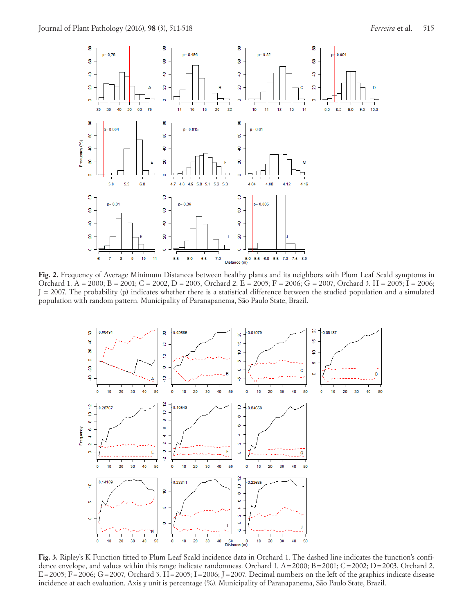

Fig. 2. Frequency of Average Minimum Distances between healthy plants and its neighbors with Plum Leaf Scald symptoms in Orchard 1. A = 2000; B = 2001; C = 2002, D = 2003, Orchard 2. E = 2005; F = 2006; G = 2007, Orchard 3. H = 2005; I = 2006;  $J = 2007$ . The probability (p) indicates whether there is a statistical difference between the studied population and a simulated population with random pattern. Municipality of Paranapanema, São Paulo State, Brazil.



**Fig. 3.** Ripley's K Function fitted to Plum Leaf Scald incidence data in Orchard 1. The dashed line indicates the function's confidence envelope, and values within this range indicate randomness. Orchard 1. A=2000; B=2001; C=2002; D=2003, Orchard 2.  $E=2005$ ; F=2006; G=2007, Orchard 3. H=2005; I=2006; J=2007. Decimal numbers on the left of the graphics indicate disease incidence at each evaluation. Axis y unit is percentage (%). Municipality of Paranapanema, São Paulo State, Brazil.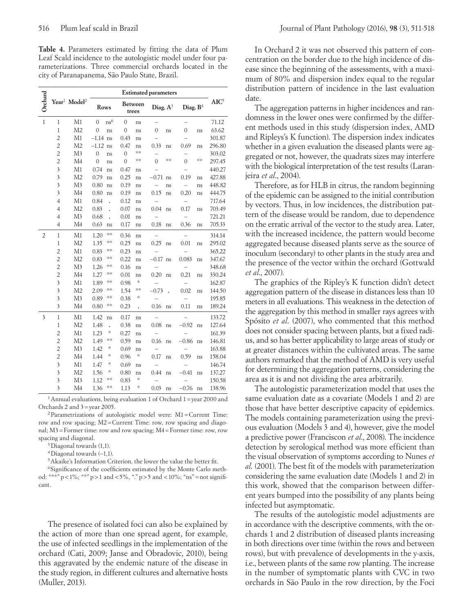**Table 4.** Parameters estimated by fitting the data of Plum Leaf Scald incidence to the autologistic model under four parameterizations. Three commercial orchards located in the city of Paranapanema, São Paulo State, Brazil.

| Orchard                 |                         | Year <sup>1</sup> Model <sup>2</sup> | Rows                              | <b>Between</b><br>trees |                      | Diag. $A^3$              |    | Diag. B <sup>4</sup> | AIC <sup>5</sup> |        |
|-------------------------|-------------------------|--------------------------------------|-----------------------------------|-------------------------|----------------------|--------------------------|----|----------------------|------------------|--------|
| $\mathbf{1}$            | $\mathbf{1}$            | M1                                   | ns <sup>6</sup><br>$\overline{0}$ | $\theta$                | ns                   |                          |    |                      |                  | 71.12  |
|                         | $\mathbf{1}$            | M <sub>2</sub>                       | $\mathbf{0}$<br>ns                | $\mathbf{0}$            | ns                   | 0                        | ns | $\mathbf{0}$         | ns               | 63.62  |
|                         | $\overline{c}$          | M1                                   | $-1.14$ ns                        | 0.43                    | ns                   |                          |    |                      |                  | 301.87 |
|                         | $\overline{c}$          | M <sub>2</sub>                       | $-1.12$ ns                        | 0.47                    | ns                   | 0.33                     | ns | 0.69                 | ns               | 296.80 |
|                         | $\overline{c}$          | M <sub>3</sub>                       | $\mathbf{0}$<br>ns                | $\mathbf{0}$            | **                   |                          |    |                      |                  | 303.02 |
|                         | $\overline{c}$          | M <sub>4</sub>                       | $\mathbf{0}$<br>ns                | $\overline{0}$          | **                   | $\Omega$                 | ** | $\Omega$             | $**$             | 297.45 |
|                         | $\overline{\mathbf{3}}$ | M1                                   | 0.74<br>ns                        | 0.47                    | ns                   |                          |    |                      |                  | 440.27 |
|                         | $\overline{\mathbf{3}}$ | M <sub>2</sub>                       | 0.79<br>ns                        | 0.25                    | ns                   | $-0.71$                  | ns | 0.19                 | ns               | 427.88 |
|                         | $\overline{\mathbf{3}}$ | M3                                   | 0.80<br>ns                        | 0.19                    | ns                   |                          | ns |                      | ns               | 448.82 |
|                         | $\overline{\mathbf{3}}$ | M <sub>4</sub>                       | 0.80<br>ns                        | 0.19                    | ns                   | 0.15                     | ns | 0.20                 | ns               | 444.75 |
|                         | $\overline{4}$          | M1                                   | 0.84                              | 0.12                    | ns                   | $\overline{\phantom{0}}$ |    |                      |                  | 717.64 |
|                         | $\overline{4}$          | M <sub>2</sub>                       | 0.83                              | 0.07                    | ns                   | 0.04                     | ns | 0.17                 | ns               | 703.49 |
|                         | $\overline{4}$          | M <sub>3</sub>                       | 0.68                              | 0.01                    | ns                   |                          |    |                      |                  | 721.21 |
|                         | $\overline{4}$          | M <sub>4</sub>                       | 0.63<br>ns                        | 0.17                    | ns                   | 0.18                     | ns | 0.36                 | ns               | 705.33 |
| $\overline{2}$          | $\mathbf{1}$            | M1                                   | 1.20<br>**                        | 0.36                    | ns                   |                          |    |                      |                  | 314.14 |
|                         | $\mathbf{1}$            | M <sub>2</sub>                       | 1.35<br>**                        | 0.25                    | ns                   | 0.25                     | ns | 0.01                 | ns               | 295.02 |
|                         | $\overline{c}$          | M1                                   | 0.83<br>**                        | 0.23                    | ns                   |                          |    |                      |                  | 365.22 |
|                         | $\overline{c}$          | M <sub>2</sub>                       | **<br>0.83                        | 0.22                    | ns                   | $-0.17$ ns               |    | 0.083                | ns               | 347.67 |
|                         | $\overline{c}$          | M <sub>3</sub>                       | 1.26<br>**                        | 0.16                    | ns                   |                          |    |                      |                  | 348.68 |
|                         | $\overline{c}$          | M4                                   | **<br>1.27                        | 0.01                    | ns                   | 0.20                     | ns | 0.21                 | ns               | 330.24 |
|                         | $\overline{\mathbf{3}}$ | M1                                   | **<br>1.89                        | 0.98                    | *                    |                          |    |                      |                  | 162.87 |
|                         | $\mathfrak{Z}$          | M <sub>2</sub>                       | **<br>2.09                        | 1.54                    | **                   | $-0.73$                  |    | 0.02                 | ns               | 144.50 |
|                         | $\mathfrak{Z}$          | M <sub>3</sub>                       | **<br>0.89                        | 0.38                    | *                    |                          |    |                      |                  | 195.85 |
|                         | $\overline{\mathbf{3}}$ | M <sub>4</sub>                       | **<br>0.80                        | 0.23                    | $\ddot{\phantom{0}}$ | 0.16                     | ns | 0.11                 | ns               | 189.24 |
| $\overline{\mathbf{3}}$ | $\mathbf{1}$            | M1                                   | 1.42<br>ns                        | 0.17                    | ns                   |                          |    |                      |                  | 133.72 |
|                         | $\mathbf{1}$            | M <sub>2</sub>                       | 1.48                              | 0.38                    | ns                   | 0.08                     | ns | $-0.92$              | ns               | 127.64 |
|                         | $\overline{c}$          | M1                                   | ×<br>1.23                         | 0.27                    | ns                   |                          |    | $\equiv$             |                  | 161.39 |
|                         | $\overline{c}$          | M <sub>2</sub>                       | **<br>1.49                        | 0.59                    | ns                   | 0.16                     | ns | $-0.86$              | ns               | 146.81 |
|                         | $\overline{c}$          | M <sub>3</sub>                       | ×,<br>1.42                        | 0.69                    | ns                   |                          |    |                      |                  | 163.88 |
|                         | $\overline{c}$          | M <sub>4</sub>                       | ×,<br>1.44                        | 0.96                    | *                    | 0.17                     | ns | 0.59                 | ns               | 158.04 |
|                         | $\overline{\mathbf{3}}$ | M1                                   | *<br>1.47                         | 0.69                    | ns                   |                          |    |                      |                  | 146.74 |
|                         | $\overline{\mathbf{3}}$ | M <sub>2</sub>                       | ×,<br>1.56                        | 0.80                    | ns                   | 0.44                     | ns | $-0.41$              | ns               | 137.27 |
|                         | $\overline{\mathbf{3}}$ | M3                                   | **<br>1.12                        | 0.83                    | ×,                   |                          |    |                      |                  | 150.58 |
|                         | $\overline{\mathbf{3}}$ | M <sub>4</sub>                       | **<br>1.36                        | 1.13                    | *                    | 0.03                     | ns | $-0.76$              | ns               | 138.96 |

<sup>1</sup> Annual evaluations, being evaluation 1 of Orchard 1 = year 2000 and Orchards 2 and 3=year 2005.

2Parametrizations of autologistic model were: M1=Current Time: row and row spacing; M2=Current Time: row, row spacing and diagonal; M3=Former time: row and row spacing; M4=Former time: row, row spacing and diagonal.

3Diagonal towards (1,1).

4Diagonal towards (−1,1).

5Akaike's Information Criterion, the lower the value the better fit.

6Significance of the coefficients estimated by the Monte Carlo method: "\*\*"  $p < 1\%$ ; "\*"  $p > 1$  and  $< 5\%$ , "."  $p > 5$  and  $< 10\%$ ; "ns" = not significant.

The presence of isolated foci can also be explained by the action of more than one spread agent, for example, the use of infected seedlings in the implementation of the orchard (Cati, 2009; Janse and Obradovic, 2010), being this aggravated by the endemic nature of the disease in the study region, in different cultures and alternative hosts (Muller, 2013).

In Orchard 2 it was not observed this pattern of concentration on the border due to the high incidence of disease since the beginning of the assessments, with a maximum of 80% and dispersion index equal to the regular distribution pattern of incidence in the last evaluation date.

The aggregation patterns in higher incidences and randomness in the lower ones were confirmed by the different methods used in this study (dispersion index, AMD and Ripleys's K function). The dispersion index indicates whether in a given evaluation the diseased plants were aggregated or not, however, the quadrats sizes may interfere with the biological interpretation of the test results (Laranjeira *et al*., 2004).

Therefore, as for HLB in citrus, the random beginning of the epidemic can be assigned to the initial contribution by vectors. Thus, in low incidences, the distribution pattern of the disease would be random, due to dependence on the erratic arrival of the vector to the study area. Later, with the increased incidence, the pattern would become aggregated because diseased plants serve as the source of inoculum (secondary) to other plants in the study area and the presence of the vector within the orchard (Gottwald *et al*., 2007).

The graphics of the Ripley's K function didn't detect aggregation pattern of the disease in distances less than 10 meters in all evaluations. This weakness in the detection of the aggregation by this method in smaller rays agrees with Spósito *et al*. (2007), who commented that this method does not consider spacing between plants, but a fixed radius, and so has better applicability to large areas of study or at greater distances within the cultivated areas. The same authors remarked that the method of AMD is very useful for determining the aggregation patterns, considering the area as it is and not dividing the area arbitrarily.

The autologistic parameterization model that uses the same evaluation date as a covariate (Models 1 and 2) are those that have better descriptive capacity of epidemics. The models containing parameterization using the previous evaluation (Models 3 and 4), however, give the model a predictive power (Franciscon *et al*., 2008). The incidence detection by serological method was more efficient than the visual observation of symptoms according to Nunes *et al*. (2001). The best fit of the models with parameterization considering the same evaluation date (Models 1 and 2) in this work, showed that the comparison between different years bumped into the possibility of any plants being infected but asymptomatic.

The results of the autologistic model adjustments are in accordance with the descriptive comments, with the orchards 1 and 2 distribution of diseased plants increasing in both directions over time (within the rows and between rows), but with prevalence of developments in the y-axis, i.e., between plants of the same row planting. The increase in the number of symptomatic plants with CVC in two orchards in São Paulo in the row direction, by the Foci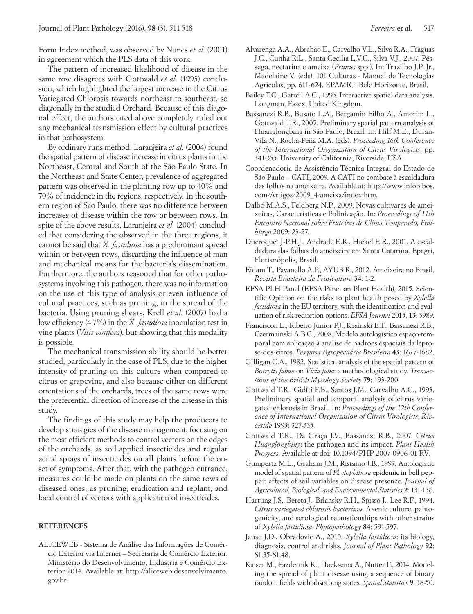Form Index method, was observed by Nunes *et al*. (2001) in agreement which the PLS data of this work.

The pattern of increased likelihood of disease in the same row disagrees with Gottwald *et al*. (1993) conclusion, which highlighted the largest increase in the Citrus Variegated Chlorosis towards northeast to southeast, so diagonally in the studied Orchard. Because of this diagonal effect, the authors cited above completely ruled out any mechanical transmission effect by cultural practices in that pathosystem.

By ordinary runs method, Laranjeira *et al*. (2004) found the spatial pattern of disease increase in citrus plants in the Northeast, Central and South of the São Paulo State. In the Northeast and State Center, prevalence of aggregated pattern was observed in the planting row up to 40% and 70% of incidence in the regions, respectively. In the southern region of São Paulo, there was no difference between increases of disease within the row or between rows. In spite of the above results, Laranjeira *et al*. (2004) concluded that considering the observed in the three regions, it cannot be said that *X. fastidiosa* has a predominant spread within or between rows, discarding the influence of man and mechanical means for the bacteria's dissemination. Furthermore, the authors reasoned that for other pathosystems involving this pathogen, there was no information on the use of this type of analysis or even influence of cultural practices, such as pruning, in the spread of the bacteria. Using pruning shears, Krell *et al*. (2007) had a low efficiency (4.7%) in the *X. fastidiosa* inoculation test in vine plants (*Vitis vinifera*), but showing that this modality is possible.

The mechanical transmission ability should be better studied, particularly in the case of PLS, due to the higher intensity of pruning on this culture when compared to citrus or grapevine, and also because either on different orientations of the orchards, trees of the same rows were the preferential direction of increase of the disease in this study.

The findings of this study may help the producers to develop strategies of the disease management, focusing on the most efficient methods to control vectors on the edges of the orchards, as soil applied insecticides and regular aerial sprays of insecticides on all plants before the onset of symptoms. After that, with the pathogen entrance, measures could be made on plants on the same rows of diseased ones, as pruning, eradication and replant, and local control of vectors with application of insecticides.

## **REFERENCES**

ALICEWEB - Sistema de Análise das Informações de Comércio Exterior via Internet – Secretaria de Comércio Exterior, Ministério do Desenvolvimento, Indústria e Comércio Exterior 2014. Available at: http://aliceweb.desenvolvimento. gov.br.

- Alvarenga A.A., Abrahao E., Carvalho V.L., Silva R.A., Fraguas J.C., Cunha R.L., Santa Cecilia L.V.C., Silva V.J., 2007. Pêssego, nectarina e ameixa (*Prunus* spp.). In: Trazilbo J.P. Jr., Madelaine V. (eds). 101 Culturas - Manual de Tecnologias Agrícolas, pp. 611-624. EPAMIG, Belo Horizonte, Brasil.
- Bailey T.C., Gatrell A.C., 1995. Interactive spatial data analysis. Longman, Essex, United Kingdom.
- Bassanezi R.B., Busato L.A., Bergamin Filho A., Amorim L., Gottwald T.R., 2005. Preliminary spatial pattern analysis of Huanglongbing in São Paulo, Brazil. In: Hilf M.E., Duran-Vila N., Rocha-Peña M.A. (eds). *Proceeding 16th Conference of the International Organization of Citrus Virologists*, pp. 341-355. University of California, Riverside, USA.
- Coordenadoria de Assistência Técnica Integral do Estado de São Paulo – CATI, 2009. A CATI no combate à escaldadura das folhas na ameixeira. Available at: http://www.infobibos. com/Artigos/2009\_4/ameixa/index.htm.
- Dalbó M.A.S., Feldberg N.P., 2009. Novas cultivares de ameixeiras, Características e Polinização. In: *Proceedings of 11th Encontro Nacional sobre Fruteiras de Clima Temperado, Fraiburgo* 2009: 23-27.
- Ducroquet J-P.H.J., Andrade E.R., Hickel E.R., 2001. A escaldadura das folhas da ameixeira em Santa Catarina. Epagri, Florianópolis, Brasil.
- Eidam T., Pavanello A.P., AYUB R., 2012. Ameixeira no Brasil. *Revista Brasileira de Fruticultura* **34**: 1-2.
- EFSA PLH Panel (EFSA Panel on Plant Health), 2015. Scientific Opinion on the risks to plant health posed by *Xylella fastidiosa* in the EU territory, with the identification and evaluation of risk reduction options. *EFSA Journal* 2015, **13**: 3989.
- Franciscon L., Ribeiro Junior P.J., Krainski E.T., Bassanezi R.B., Czermainski A.B.C., 2008. Modelo autologístico espaço-temporal com aplicação à análise de padrões espaciais da leprose-dos-citros. *Pesquisa Agropecuária Brasileira* **43**: 1677-1682.
- Gilligan C.A., 1982. Statistical analysis of the spatial pattern of *Botrytis fabae* on *Vicia faba*: a methodological study. *Transactions of the British Mycology Society* **79**: 193-200.
- Gottwald T.R., Gidtti F.B., Santos J.M., Carvalho A.C., 1993. Preliminary spatial and temporal analysis of citrus variegated chlorosis in Brazil. In: *Proceedings of the 12th Conference of International Organization of Citrus Virologists*, *Riverside* 1993: 327-335.
- Gottwald T.R., Da Graça J.V., Bassanezi R.B., 2007. *Citrus Huanglongbing*: the pathogen and its impact. *Plant Health Progress*. Available at doi: 10.1094/PHP-2007-0906-01-RV.
- Gumpertz M.L., Graham J.M., Ristaino J.B., 1997. Autologistic model of spatial pattern of *Phytophthora* epidemic in bell pepper: effects of soil variables on disease presence. *Journal of Agricultural, Biological, and Environmental Statistics* **2**: 131-156.
- Hartung J.S., Bereta J., Brlansky R.H., Spisso J., Lee R.F., 1994. *Citrus variegated chlorosis bacterium*. Axenic culture, pahtogenicity, and serological relanstionships with other strains of *Xylella fastidiosa*. *Phytopathology* **84**: 591-597.
- Janse J.D., Obradovic A., 2010. *Xylella fastidiosa*: its biology, diagnosis, control and risks. *Journal of Plant Pathology* **92**: S1.35-S1.48.
- Kaiser M., Pazdernik K., Hoeksema A., Nutter F., 2014. Modeling the spread of plant disease using a sequence of binary random fields with absorbing states. *Spatial Statistics* **9**: 38-50.